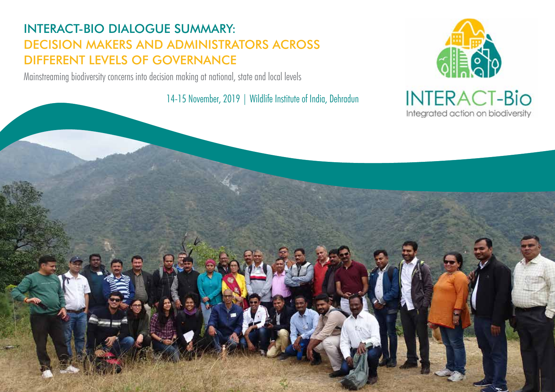Mainstreaming biodiversity concerns into decision making at national, state and local levels

14-15 November, 2019 | Wildlife Institute of India, Dehradun



**INTERACT-Bio** Integrated action on biodiversity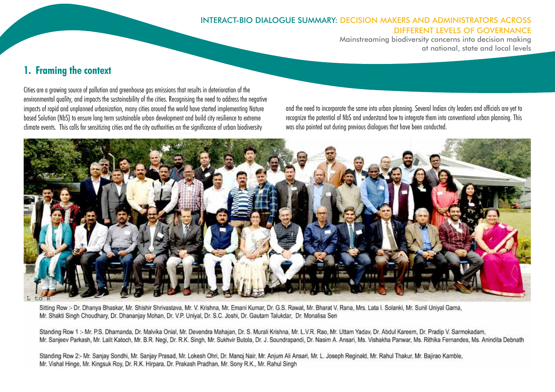Mainstreaming biodiversity concerns into decision making at national, state and local levels

### **1. Framing the context**

Cities are a growing source of pollution and greenhouse gas emissions that results in deterioration of the environmental quality, and impacts the sustainability of the cities. Recognising the need to address the negative impacts of rapid and unplanned urbanization, many cities around the world have started implementing Nature based Solution (NbS) to ensure long term sustainable urban development and build city resilience to extreme climate events. This calls for sensitizing cities and the city authorities on the significance of urban biodiversity

and the need to incorporate the same into urban planning. Several Indian city leaders and officials are yet to recognize the potential of NbS and understand how to integrate them into conventional urban planning. This was also pointed out during previous dialogues that have been conducted.



Sitting Row :- Dr. Dhanya Bhaskar, Mr. Shishir Shrivastava, Mr. V. Krishna, Mr. Emani Kumar, Dr. G.S. Rawat, Mr. Bharat V. Rana, Mrs. Lata I. Solanki, Mr. Sunil Uniyal Gama, Mr. Shakti Singh Choudhary, Dr. Dhananjay Mohan, Dr. V.P. Uniyal, Dr. S.C. Joshi, Dr. Gautam Talukdar. Dr. Monalisa Sen

Standing Row 1:- Mr. P.S. Dhamanda, Dr. Malvika Onial, Mr. Devendra Mahajan, Dr. S. Murali Krishna, Mr. L.V.R. Rao, Mr. Uttam Yadav, Dr. Abdul Kareem, Dr. Pradip V. Sarmokadam, Mr. Sanjeev Parkash, Mr. Lalit Katoch, Mr. B.R. Negi, Dr. R.K. Singh, Mr. Sukhvir Butola, Dr. J. Soundrapandi, Dr. Nasim A. Ansari, Ms. Vishakha Panwar, Ms. Rithika Fernandes, Ms. Anindita Debnath

Standing Row 2:- Mr. Sanjay Sondhi, Mr. Sanjay Prasad, Mr. Lokesh Ohri, Dr. Manoj Nair, Mr. Anjum Ali Ansari, Mr. L. Joseph Reginald, Mr. Rahul Thakur, Mr. Bajirao Kamble, Mr. Vishal Hinge, Mr. Kingsuk Roy, Dr. R.K. Hirpara, Dr. Prakash Pradhan, Mr. Sony R.K., Mr. Rahul Singh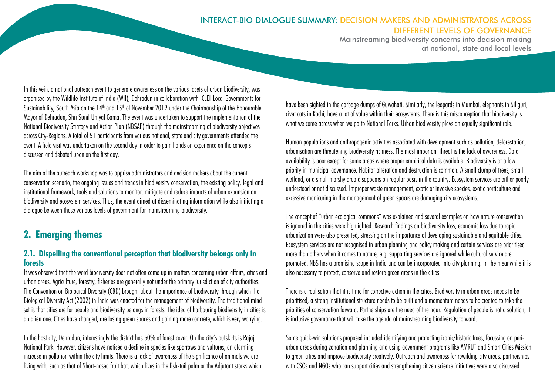Mainstreaming biodiversity concerns into decision making at national, state and local levels

In this vein, a national outreach event to generate awareness on the various facets of urban biodiversity, was organised by the Wildlife Institute of India (WII), Dehradun in collaboration with ICLEI-Local Governments for Sustainability, South Asia on the 14<sup>th</sup> and 15<sup>th</sup> of November 2019 under the Chairmanship of the Honourable Mayor of Dehradun, Shri Sunil Uniyal Gama. The event was undertaken to support the implementation of the National Biodiversity Strategy and Action Plan (NBSAP) through the mainstreaming of biodiversity objectives across City-Regions. A total of 51 participants from various national, state and city governments attended the event. A field visit was undertaken on the second day in order to gain hands on experience on the concepts discussed and debated upon on the first day.

The aim of the outreach workshop was to apprise administrators and decision makers about the current conservation scenario, the ongoing issues and trends in biodiversity conservation, the existing policy, legal and institutional framework, tools and solutions to monitor, mitigate and reduce impacts of urban expansion on biodiversity and ecosystem services. Thus, the event aimed at disseminating information while also initiating a dialogue between these various levels of government for mainstreaming biodiversity.

## **2. Emerging themes**

#### **2.1. Dispelling the conventional perception that biodiversity belongs only in forests**

It was observed that the word biodiversity does not often come up in matters concerning urban affairs, cities and urban areas. Agriculture, forestry, fisheries are generally not under the primary jurisdiction of city authorities. The Convention on Biological Diversity (CBD) brought about the importance of biodiversity through which the Biological Diversity Act (2002) in India was enacted for the management of biodiversity. The traditional mindset is that cities are for people and biodiversity belongs in forests. The idea of harbouring biodiversity in cities is an alien one. Cities have changed, are losing green spaces and gaining more concrete, which is very worrying.

In the host city, Dehradun, interestingly the district has 50% of forest cover. On the city's outskirts is Rajaji National Park. However, citizens have noticed a decline in species like sparrows and vultures, an alarming increase in pollution within the city limits. There is a lack of awareness of the significance of animals we are living with, such as that of Short-nosed fruit bat, which lives in the fish-tail palm or the Adjutant storks which have been sighted in the garbage dumps of Guwahati. Similarly, the leopards in Mumbai, elephants in Siliguri, civet cats in Kochi, have a lot of value within their ecosystems. There is this misconception that biodiversity is what we come across when we go to National Parks. Urban biodiversity plays an equally significant role.

Human populations and anthropogenic activities associated with development such as pollution, deforestation, urbanisation are threatening biodiversity richness. The most important threat is the lack of awareness. Data availability is poor except for some areas where proper empirical data is available. Biodiversity is at a low priority in municipal governance. Habitat alteration and destruction is common. A small clump of trees, small wetland, or a small marshy area disappears on regular basis in the country. Ecosystem services are either poorly understood or not discussed. Improper waste management, exotic or invasive species, exotic horticulture and excessive manicuring in the management of green spaces are damaging city ecosystems.

The concept of "urban ecological commons" was explained and several examples on how nature conservation is ignored in the cities were highlighted. Research findings on biodiversity loss, economic loss due to rapid urbanization were also presented, stressing on the importance of developing sustainable and equitable cities. Ecosystem services are not recognised in urban planning and policy making and certain services are prioritised more than others when it comes to nature, e.g. supporting services are ignored while cultural service are promoted. NbS has a promising scope in India and can be incorporated into city planning. In the meanwhile it is also necessary to protect, conserve and restore green areas in the cities.

There is a realisation that it is time for corrective action in the cities. Biodiversity in urban areas needs to be prioritised, a strong institutional structure needs to be built and a momentum needs to be created to take the priorities of conservation forward. Partnerships are the need of the hour. Regulation of people is not a solution; it is inclusive governance that will take the agenda of mainstreaming biodiversity forward.

Some quick-win solutions proposed included identifying and protecting iconic/historic trees, focussing on periurban areas during zonation and planning and using government programs like AMRUT and Smart Cities Mission to green cities and improve biodiversity creatively. Outreach and awareness for rewilding city areas, partnerships with CSOs and NGOs who can support cities and strengthening citizen science initiatives were also discussed.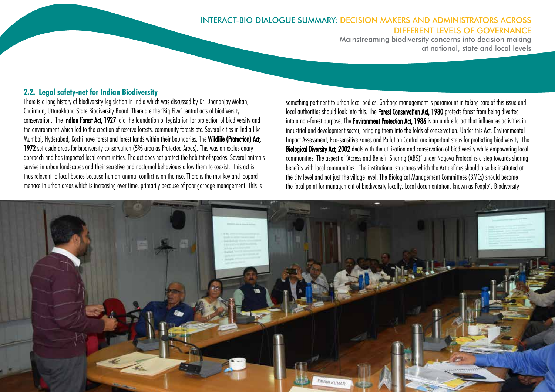Mainstreaming biodiversity concerns into decision making at national, state and local levels

#### **2.2. Legal safety-net for Indian Biodiversity**

There is a long history of biodiversity legislation in India which was discussed by Dr. Dhananjay Mohan, Chairman, Uttarakhand State Biodiversity Board. There are the 'Big Five' central acts of biodiversity conservation. The Indian Forest Act, 1927 laid the foundation of legislation for protection of biodiversity and the environment which led to the creation of reserve forests, community forests etc. Several cities in India like Mumbai, Hyderabad, Kochi have forest and forest lands within their boundaries. The Wildlife (Protection) Act, 1972 set aside areas for biodiversity conservation (5% area as Protected Areas). This was an exclusionary approach and has impacted local communities. The act does not protect the habitat of species. Several animals survive in urban landscapes and their secretive and nocturnal behaviours allow them to coexist. This act is thus relevant to local bodies because human-animal conflict is on the rise. There is the monkey and leopard menace in urban areas which is increasing over time, primarily because of poor garbage management. This is

something pertinent to urban local bodies. Garbage management is paramount in taking care of this issue and local authorities should look into this. The Forest Conservation Act, 1980 protects forest from being diverted into a non-forest purpose. The **Environment Protection Act, 1986** is an umbrella act that influences activities in industrial and development sector, bringing them into the folds of conservation. Under this Act, Environmental Impact Assessment, Eco-sensitive Zones and Pollution Control are important steps for protecting biodiversity. The Biological Diversity Act, 2002 deals with the utilization and conservation of biodiversity while empowering local communities. The aspect of 'Access and Benefit Sharing (ABS)' under Nagoya Protocol is a step towards sharing benefits with local communities. The institutional structures which the Act defines should also be instituted at the city level and not just the village level. The Biological Management Committees (BMCs) should become the focal point for management of biodiversity locally. Local documentation, known as People's Biodiversity

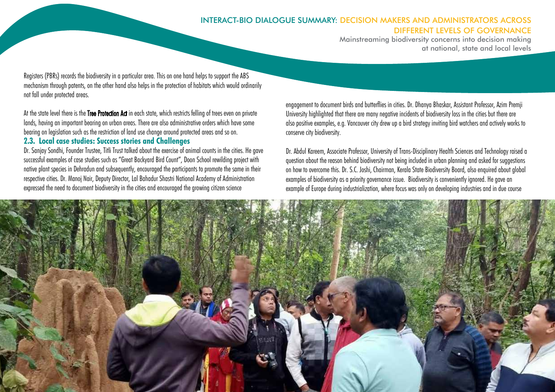Mainstreaming biodiversity concerns into decision making at national, state and local levels

Registers (PBRs) records the biodiversity in a particular area. This on one hand helps to support the ABS mechanism through patents, on the other hand also helps in the protection of habitats which would ordinarily not fall under protected areas.

At the state level there is the Tree Protection Act in each state, which restricts felling of trees even on private lands, having an important bearing on urban areas. There are also administrative orders which have some bearing on legislation such as the restriction of land use change around protected areas and so on. **2.3. Local case studies: Success stories and Challenges**

Dr. Sanjay Sondhi, Founder Trustee, Titli Trust talked about the exercise of animal counts in the cities. He gave successful examples of case studies such as "Great Backyard Bird Count", Doon School rewilding project with native plant species in Dehradun and subsequently, encouraged the participants to promote the same in their respective cities. Dr. Manoj Nair, Deputy Director, Lal Bahadur Shastri National Academy of Administration expressed the need to document biodiversity in the cities and encouraged the growing citizen science

engagement to document birds and butterflies in cities. Dr. Dhanya Bhaskar, Assistant Professor, Azim Premji University highlighted that there are many negative incidents of biodiversity loss in the cities but there are also positive examples, e.g. Vancouver city drew up a bird strategy inviting bird watchers and actively works to conserve city biodiversity.

Dr. Abdul Kareem, Associate Professor, University of Trans-Disciplinary Health Sciences and Technology raised a question about the reason behind biodiversity not being included in urban planning and asked for suggestions on how to overcome this. Dr. S.C. Joshi, Chairman, Kerala State Biodiversity Board, also enquired about global examples of biodiversity as a priority governance issue. Biodiversity is conveniently ignored. He gave an example of Europe during industrialization, where focus was only on developing industries and in due course

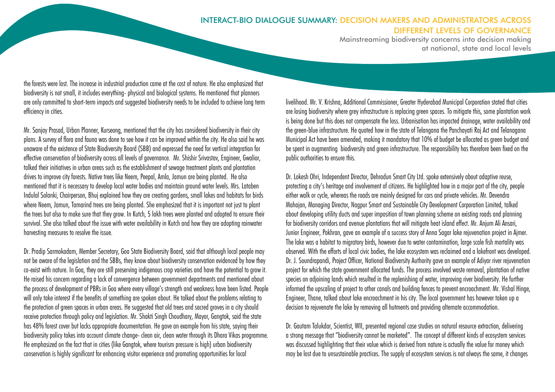Mainstreaming biodiversity concerns into decision making at national, state and local levels

the forests were lost. The increase in industrial production came at the cost of nature. He also emphasized that biodiversity is not small, it includes everything- physical and biological systems. He mentioned that planners are only committed to short-term impacts and suggested biodiversity needs to be included to achieve long term efficiency in cities.

Mr. Sanjay Prasad, Urban Planner, Kurseong, mentioned that the city has considered biodiversity in their city plans. A survey of flora and fauna was done to see how it can be improved within the city. He also said he was unaware of the existence of State Biodiversity Board (SBB) and expressed the need for vertical integration for effective conservation of biodiversity across all levels of governance. Mr. Shishir Srivastav, Engineer, Gwalior, talked their initiatives in urban areas such as the establishment of sewage treatment plants and plantation drives to improve city forests. Native trees like Neem, Peepal, Amla, Jamun are being planted. He also mentioned that it is necessary to develop local water bodies and maintain ground water levels. Mrs. Lataben Indulal Solanki, Chairperson, Bhuj explained how they are creating gardens, small lakes and habitats for birds where Neem, Jamun, Tamarind trees are being planted. She emphasized that it is important not just to plant the trees but also to make sure that they grow. In Kutch, 5 lakh trees were planted and adopted to ensure their survival. She also talked about the issue with water availability in Kutch and how they are adopting rainwater harvesting measures to resolve the issue.

Dr. Pradip Sarmokadam, Member Secretary, Goa State Biodiversity Board, said that although local people may not be aware of the legislation and the SBBs, they know about biodiversity conservation evidenced by how they co-exist with nature. In Goa, they are still preserving indigenous crop varieties and have the potential to grow it. He raised his concern regarding a lack of convergence between government departments and mentioned about the process of development of PBRs in Goa where every village's strength and weakness have been listed. People will only take interest if the benefits of something are spoken about. He talked about the problems relating to the protection of green spaces in urban areas. He suggested that old trees and sacred groves in a city should receive protection through policy and legislation. Mr. Shakti Singh Choudhary, Mayor, Gangtok, said the state has 48% forest cover but lacks appropriate documentation. He gave an example from his state, saying their biodiversity policy takes into account climate change- clean air, clean water through its Dhara Vikas programme. He emphasized on the fact that in cities (like Gangtok, where tourism pressure is high) urban biodiversity conservation is highly significant for enhancing visitor experience and promoting opportunities for local

livelihood. Mr. V. Krishna, Additional Commissioner, Greater Hyderabad Municipal Corporation stated that cities are losing biodiversity where grey infrastructure is replacing green spaces. To mitigate this, some plantation work is being done but this does not compensate the loss. Urbanisation has impacted drainage, water availability and the green-blue infrastructure. He quoted how in the state of Telangana the Panchayati Raj Act and Telanagana Municipal Act have been amended, making it mandatory that 10% of budget be allocated as green budget and be spent in augmenting biodiversity and green infrastructure. The responsibility has therefore been fixed on the public authorities to ensure this.

Dr. Lokesh Ohri, Independent Director, Dehradun Smart City Ltd. spoke extensively about adaptive reuse, protecting a city's heritage and involvement of citizens. He highlighted how in a major part of the city, people either walk or cycle, whereas the roads are mainly designed for cars and private vehicles. Mr. Devendra Mahajan, Managing Director, Nagpur Smart and Sustainable City Development Corporation Limited, talked about developing utility ducts and super imposition of town planning scheme on existing roads and planning for biodiversity corridors and avenue plantations that will mitigate heat island effect. Mr. Anjum Ali Ansari, Junior Engineer, Pokhran, gave an example of a success story of Anna Sagar lake rejuvenation project in Ajmer. The lake was a habitat to migratory birds, however due to water contamination, large scale fish mortality was observed. With the efforts of local civic bodies, the lake ecosystem was reclaimed and a lakefront was developed. Dr. J. Soundrapandi, Project Officer, National Biodiversity Authority gave an example of Adiyar river rejuvenation project for which the state government allocated funds. The process involved waste removal, plantation of native species on adjoining lands which resulted in the replenishing of water, improving river biodiversity. He further informed the upscaling of project to other canals and building fences to prevent encroachment. Mr. Vishal Hinge, Engineer, Thane, talked about lake encroachment in his city. The local government has however taken up a decision to rejuvenate the lake by removing all hutments and providing alternate accommodation.

Dr. Gautam Talukdar, Scientist, WII, presented regional case studies on natural resource extraction, delivering a strong message that "biodiversity cannot be marketed". The concept of different kinds of ecosystem services was discussed highlighting that their value which is derived from nature is actually the value for money which may be lost due to unsustainable practices. The supply of ecosystem services is not always the same, it changes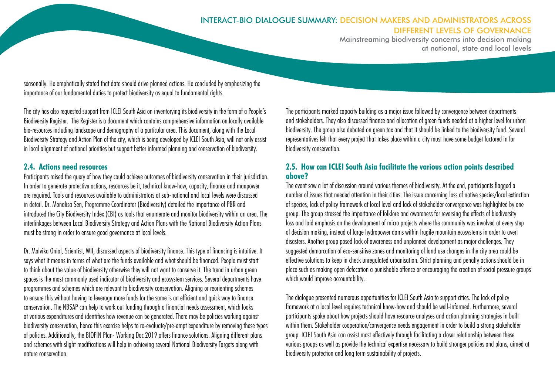Mainstreaming biodiversity concerns into decision making at national, state and local levels

seasonally. He emphatically stated that data should drive planned actions. He concluded by emphasizing the importance of our fundamental duties to protect biodiversity as equal to fundamental rights.

The city has also requested support from ICLEI South Asia on inventorying its biodiversity in the form of a People's Biodiversity Register. The Register is a document which contains comprehensive information on locally available bio-resources including landscape and demography of a particular area. This document, along with the Local Biodiversity Strategy and Action Plan of the city, which is being developed by ICLEI South Asia, will not only assist in local alignment of national priorities but support better informed planning and conservation of biodiversity.

#### **2.4. Actions need resources**

Participants raised the query of how they could achieve outcomes of biodiversity conservation in their jurisdiction. In order to generate protective actions, resources be it, technical know-how, capacity, finance and manpower are required. Tools and resources available to administrators at sub-national and local levels were discussed in detail. Dr. Monalisa Sen, Programme Coordinator (Biodiversity) detailed the importance of PBR and introduced the City Biodiversity Index (CBI) as tools that enumerate and monitor biodiversity within an area. The interlinkages between Local Biodiversity Strategy and Action Plans with the National Biodiversity Action Plans must be strong in order to ensure good governance at local levels.

Dr. Malvika Onial, Scientist, WII, discussed aspects of biodiversity finance. This type of financing is intuitive. It says what it means in terms of what are the funds available and what should be financed. People must start to think about the value of biodiversity otherwise they will not want to conserve it. The trend in urban green spaces is the most commonly used indicator of biodiversity and ecosystem services. Several departments have programmes and schemes which are relevant to biodiversity conservation. Aligning or reorienting schemes to ensure this without having to leverage more funds for the same is an efficient and quick way to finance conservation. The NBSAP can help to work out funding through a financial needs assessment, which looks at various expenditures and identifies how revenue can be generated. There may be policies working against biodiversity conservation, hence this exercise helps to re-evaluate/pre-empt expenditure by removing these types of policies. Additionally, the BIOFIN Plan- Working Doc 2019 offers finance solutions. Aligning different plans and schemes with slight modifications will help in achieving several National Biodiversity Targets along with nature conservation.

The participants marked capacity building as a major issue followed by convergence between departments and stakeholders. They also discussed finance and allocation of green funds needed at a higher level for urban biodiversity. The group also debated on green tax and that it should be linked to the biodiversity fund. Several representatives felt that every project that takes place within a city must have some budget factored in for biodiversity conservation.

#### **2.5. How can ICLEI South Asia facilitate the various action points described above?**

The event saw a lot of discussion around various themes of biodiversity. At the end, participants flagged a number of issues that needed attention in their cities. The issue concerning loss of native species/local extinction of species, lack of policy framework at local level and lack of stakeholder convergence was highlighted by one group. The group stressed the importance of folklore and awareness for reversing the effects of biodiversity loss and laid emphasis on the development of micro projects where the community was involved at every step of decision making, instead of large hydropower dams within fragile mountain ecosystems in order to avert disasters. Another group posed lack of awareness and unplanned development as major challenges. They suggested demarcation of eco-sensitive zones and monitoring of land use changes in the city area could be effective solutions to keep in check unregulated urbanisation. Strict planning and penalty actions should be in place such as making open defecation a punishable offence or encouraging the creation of social pressure groups which would improve accountability.

The dialogue presented numerous opportunities for ICLEI South Asia to support cities. The lack of policy framework at a local level requires technical know-how and should be well-informed. Furthermore, several participants spoke about how projects should have resource analyses and action planning strategies in built within them. Stakeholder cooperation/convergence needs engagement in order to build a strong stakeholder group. ICLEI South Asia can assist most effectively through facilitating a closer relationship between these various groups as well as provide the technical expertise necessary to build stronger policies and plans, aimed at biodiversity protection and long term sustainability of projects.